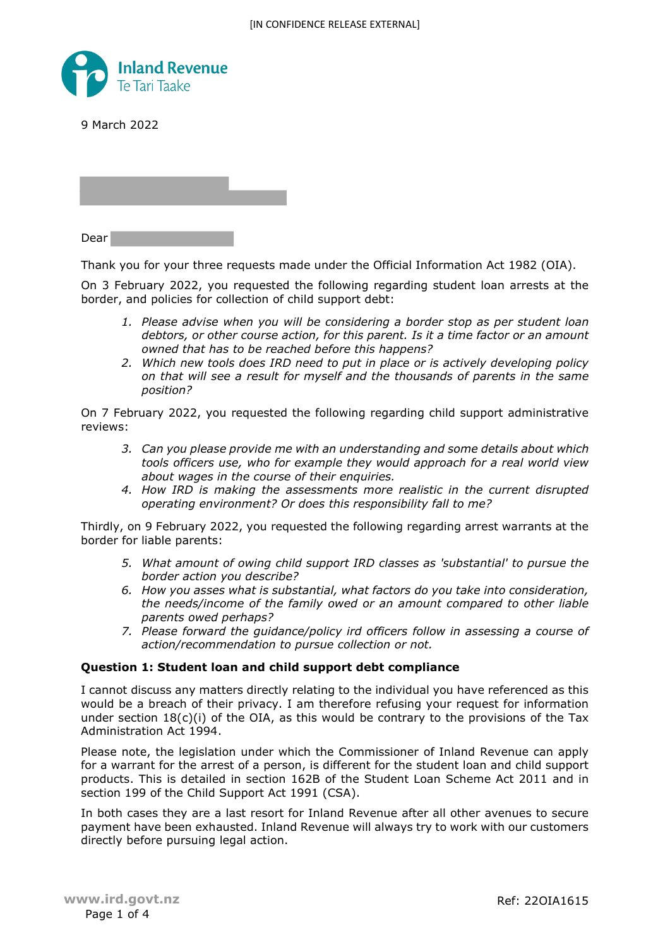

9 March 2022

Dear

Thank you for your three requests made under the Official Information Act 1982 (OIA).

On 3 February 2022, you requested the following regarding student loan arrests at the border, and policies for collection of child support debt:

- *1. Please advise when you will be considering a border stop as per student loan debtors, or other course action, for this parent. Is it a time factor or an amount owned that has to be reached before this happens?*
- *2. Which new tools does IRD need to put in place or is actively developing policy on that will see a result for myself and the thousands of parents in the same position?*

On 7 February 2022, you requested the following regarding child support administrative reviews:

- *3. Can you please provide me with an understanding and some details about which tools officers use, who for example they would approach for a real world view about wages in the course of their enquiries.*
- *4. How IRD is making the assessments more realistic in the current disrupted operating environment? Or does this responsibility fall to me?*

Thirdly, on 9 February 2022, you requested the following regarding arrest warrants at the border for liable parents:

- *5. What amount of owing child support IRD classes as 'substantial' to pursue the border action you describe?*
- *6. How you asses what is substantial, what factors do you take into consideration, the needs/income of the family owed or an amount compared to other liable parents owed perhaps?*
- *7. Please forward the guidance/policy ird officers follow in assessing a course of action/recommendation to pursue collection or not.*

### **Question 1: Student loan and child support debt compliance**

I cannot discuss any matters directly relating to the individual you have referenced as this would be a breach of their privacy. I am therefore refusing your request for information under section  $18(c)(i)$  of the OIA, as this would be contrary to the provisions of the Tax Administration Act 1994.

Please note, the legislation under which the Commissioner of Inland Revenue can apply for a warrant for the arrest of a person, is different for the student loan and child support products. This is detailed in section 162B of the Student Loan Scheme Act 2011 and in section 199 of the Child Support Act 1991 (CSA).

In both cases they are a last resort for Inland Revenue after all other avenues to secure payment have been exhausted. Inland Revenue will always try to work with our customers directly before pursuing legal action.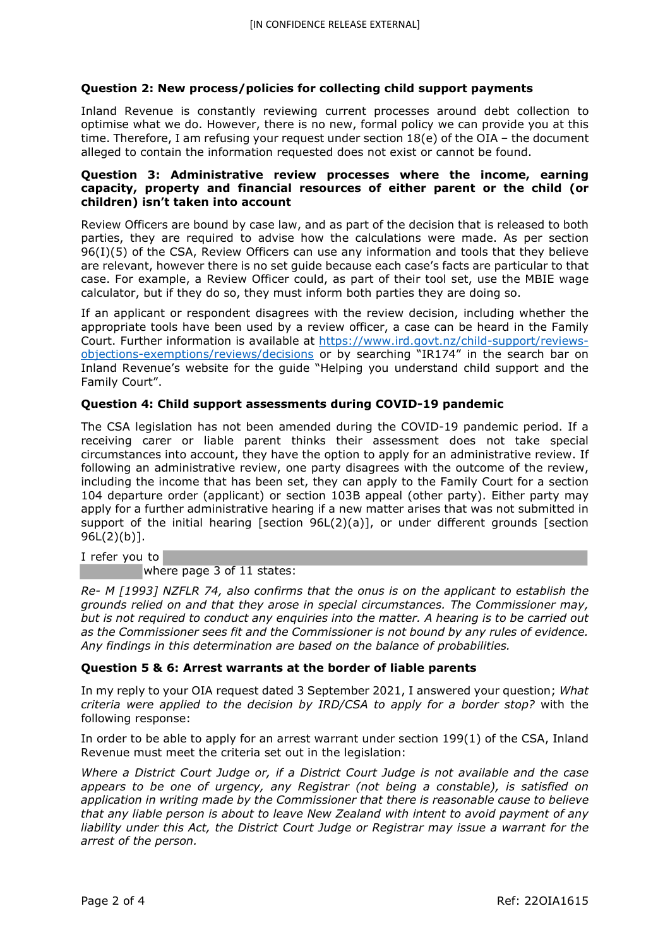# **Question 2: New process/policies for collecting child support payments**

Inland Revenue is constantly reviewing current processes around debt collection to optimise what we do. However, there is no new, formal policy we can provide you at this time. Therefore, I am refusing your request under section 18(e) of the OIA – the document alleged to contain the information requested does not exist or cannot be found.

### **Question 3: Administrative review processes where the income, earning capacity, property and financial resources of either parent or the child (or children) isn't taken into account**

Review Officers are bound by case law, and as part of the decision that is released to both parties, they are required to advise how the calculations were made. As per section 96(I)(5) of the CSA, Review Officers can use any information and tools that they believe are relevant, however there is no set guide because each case's facts are particular to that case. For example, a Review Officer could, as part of their tool set, use the MBIE wage calculator, but if they do so, they must inform both parties they are doing so.

If an applicant or respondent disagrees with the review decision, including whether the appropriate tools have been used by a review officer, a case can be heard in the Family Court. Further information is available at https://www.ird.govt.nz/child-support/reviewsobjections-exemptions/reviews/decisions or by searching "IR174" in the search bar on Inland Revenue's website for the guide "Helping you understand child support and the Family Court".

# **Question 4: Child support assessments during COVID-19 pandemic**

The CSA legislation has not been amended during the COVID-19 pandemic period. If a receiving carer or liable parent thinks their assessment does not take special circumstances into account, they have the option to apply for an administrative review. If following an administrative review, one party disagrees with the outcome of the review, including the income that has been set, they can apply to the Family Court for a section 104 departure order (applicant) or section 103B appeal (other party). Either party may apply for a further administrative hearing if a new matter arises that was not submitted in support of the initial hearing [section 96L(2)(a)], or under different grounds [section 96L(2)(b)].

I refer you to

where page 3 of 11 states:

*Re- M [1993] NZFLR 74, also confirms that the onus is on the applicant to establish the grounds relied on and that they arose in special circumstances. The Commissioner may, but is not required to conduct any enquiries into the matter. A hearing is to be carried out as the Commissioner sees fit and the Commissioner is not bound by any rules of evidence. Any findings in this determination are based on the balance of probabilities.*

### **Question 5 & 6: Arrest warrants at the border of liable parents**

In my reply to your OIA request dated 3 September 2021, I answered your question; *What criteria were applied to the decision by IRD/CSA to apply for a border stop?* with the following response:

In order to be able to apply for an arrest warrant under section 199(1) of the CSA, Inland Revenue must meet the criteria set out in the legislation:

*Where a District Court Judge or, if a District Court Judge is not available and the case appears to be one of urgency, any Registrar (not being a constable), is satisfied on application in writing made by the Commissioner that there is reasonable cause to believe that any liable person is about to leave New Zealand with intent to avoid payment of any liability under this Act, the District Court Judge or Registrar may issue a warrant for the arrest of the person.*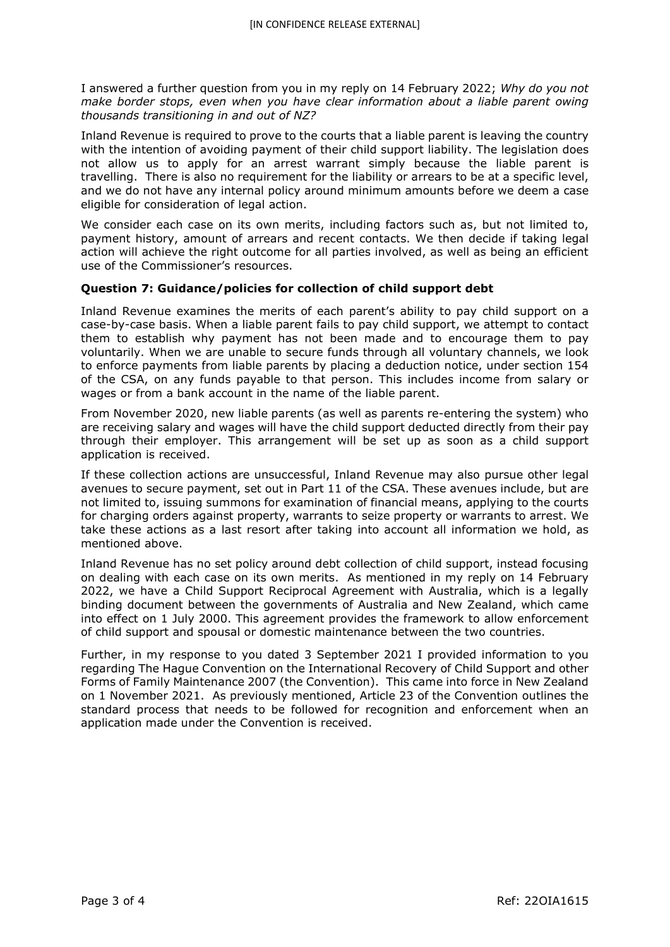I answered a further question from you in my reply on 14 February 2022; *Why do you not make border stops, even when you have clear information about a liable parent owing thousands transitioning in and out of NZ?*

Inland Revenue is required to prove to the courts that a liable parent is leaving the country with the intention of avoiding payment of their child support liability. The legislation does not allow us to apply for an arrest warrant simply because the liable parent is travelling. There is also no requirement for the liability or arrears to be at a specific level, and we do not have any internal policy around minimum amounts before we deem a case eligible for consideration of legal action.

We consider each case on its own merits, including factors such as, but not limited to, payment history, amount of arrears and recent contacts. We then decide if taking legal action will achieve the right outcome for all parties involved, as well as being an efficient use of the Commissioner's resources.

# **Question 7: Guidance/policies for collection of child support debt**

Inland Revenue examines the merits of each parent's ability to pay child support on a case-by-case basis. When a liable parent fails to pay child support, we attempt to contact them to establish why payment has not been made and to encourage them to pay voluntarily. When we are unable to secure funds through all voluntary channels, we look to enforce payments from liable parents by placing a deduction notice, under section 154 of the CSA, on any funds payable to that person. This includes income from salary or wages or from a bank account in the name of the liable parent.

From November 2020, new liable parents (as well as parents re-entering the system) who are receiving salary and wages will have the child support deducted directly from their pay through their employer. This arrangement will be set up as soon as a child support application is received.

If these collection actions are unsuccessful, Inland Revenue may also pursue other legal avenues to secure payment, set out in Part 11 of the CSA. These avenues include, but are not limited to, issuing summons for examination of financial means, applying to the courts for charging orders against property, warrants to seize property or warrants to arrest. We take these actions as a last resort after taking into account all information we hold, as mentioned above.

Inland Revenue has no set policy around debt collection of child support, instead focusing on dealing with each case on its own merits. As mentioned in my reply on 14 February 2022, we have a Child Support Reciprocal Agreement with Australia, which is a legally binding document between the governments of Australia and New Zealand, which came into effect on 1 July 2000. This agreement provides the framework to allow enforcement of child support and spousal or domestic maintenance between the two countries.

Further, in my response to you dated 3 September 2021 I provided information to you regarding The Hague Convention on the International Recovery of Child Support and other Forms of Family Maintenance 2007 (the Convention). This came into force in New Zealand on 1 November 2021. As previously mentioned, Article 23 of the Convention outlines the standard process that needs to be followed for recognition and enforcement when an application made under the Convention is received.